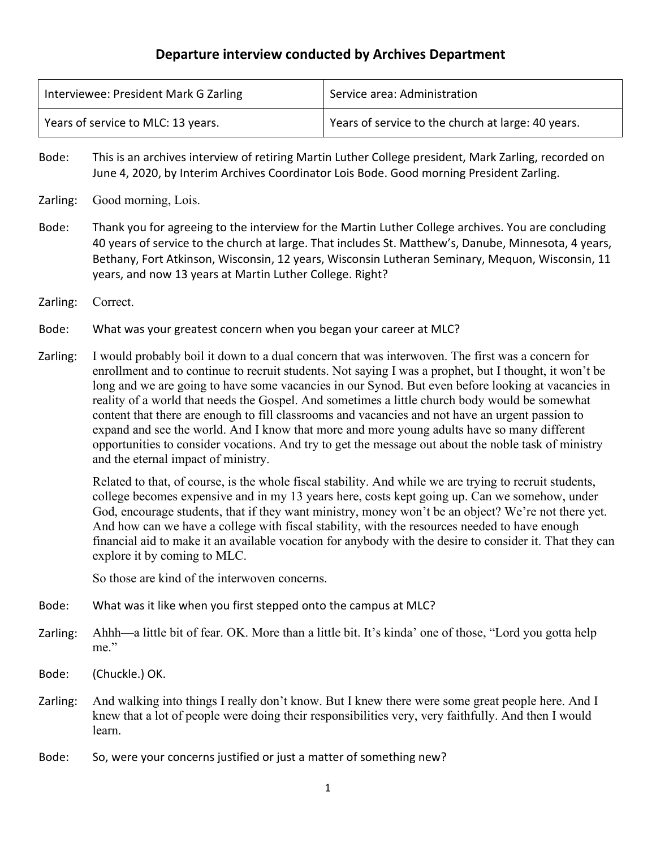## **Departure interview conducted by Archives Department**

| Interviewee: President Mark G Zarling | Service area: Administration                       |
|---------------------------------------|----------------------------------------------------|
| Years of service to MLC: 13 years.    | Years of service to the church at large: 40 years. |

Bode: This is an archives interview of retiring Martin Luther College president, Mark Zarling, recorded on June 4, 2020, by Interim Archives Coordinator Lois Bode. Good morning President Zarling.

- Zarling: Good morning, Lois.
- Bode: Thank you for agreeing to the interview for the Martin Luther College archives. You are concluding 40 years of service to the church at large. That includes St. Matthew's, Danube, Minnesota, 4 years, Bethany, Fort Atkinson, Wisconsin, 12 years, Wisconsin Lutheran Seminary, Mequon, Wisconsin, 11 years, and now 13 years at Martin Luther College. Right?
- Zarling: Correct.
- Bode: What was your greatest concern when you began your career at MLC?
- Zarling: I would probably boil it down to a dual concern that was interwoven. The first was a concern for enrollment and to continue to recruit students. Not saying I was a prophet, but I thought, it won't be long and we are going to have some vacancies in our Synod. But even before looking at vacancies in reality of a world that needs the Gospel. And sometimes a little church body would be somewhat content that there are enough to fill classrooms and vacancies and not have an urgent passion to expand and see the world. And I know that more and more young adults have so many different opportunities to consider vocations. And try to get the message out about the noble task of ministry and the eternal impact of ministry.

Related to that, of course, is the whole fiscal stability. And while we are trying to recruit students, college becomes expensive and in my 13 years here, costs kept going up. Can we somehow, under God, encourage students, that if they want ministry, money won't be an object? We're not there yet. And how can we have a college with fiscal stability, with the resources needed to have enough financial aid to make it an available vocation for anybody with the desire to consider it. That they can explore it by coming to MLC.

So those are kind of the interwoven concerns.

- Bode: What was it like when you first stepped onto the campus at MLC?
- Zarling: Ahhh—a little bit of fear. OK. More than a little bit. It's kinda' one of those, "Lord you gotta help me."
- Bode: (Chuckle.) OK.
- Zarling: And walking into things I really don't know. But I knew there were some great people here. And I knew that a lot of people were doing their responsibilities very, very faithfully. And then I would learn.
- Bode: So, were your concerns justified or just a matter of something new?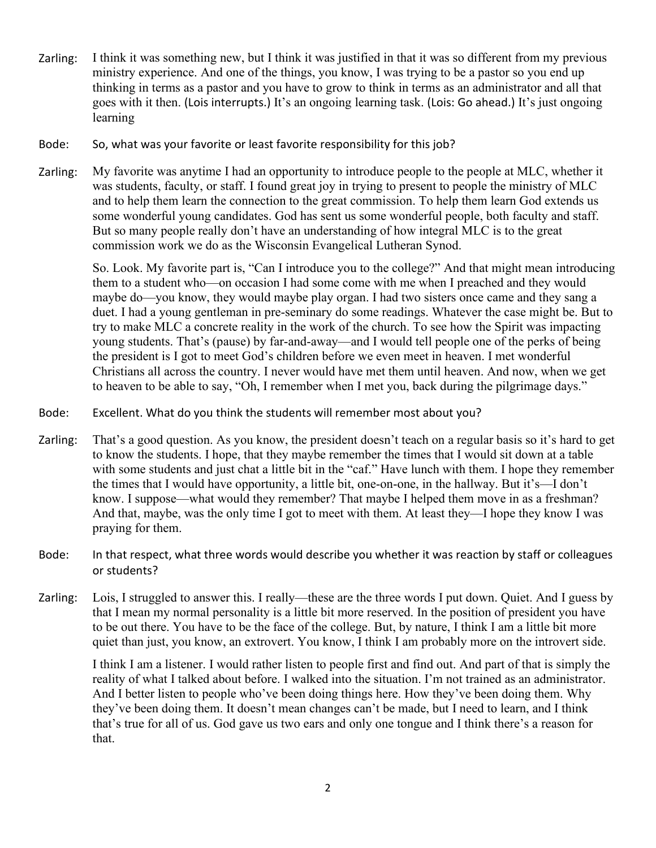- Zarling: I think it was something new, but I think it was justified in that it was so different from my previous ministry experience. And one of the things, you know, I was trying to be a pastor so you end up thinking in terms as a pastor and you have to grow to think in terms as an administrator and all that goes with it then. (Lois interrupts.) It's an ongoing learning task. (Lois: Go ahead.) It's just ongoing learning
- Bode: So, what was your favorite or least favorite responsibility for this job?
- Zarling: My favorite was anytime I had an opportunity to introduce people to the people at MLC, whether it was students, faculty, or staff. I found great joy in trying to present to people the ministry of MLC and to help them learn the connection to the great commission. To help them learn God extends us some wonderful young candidates. God has sent us some wonderful people, both faculty and staff. But so many people really don't have an understanding of how integral MLC is to the great commission work we do as the Wisconsin Evangelical Lutheran Synod.

So. Look. My favorite part is, "Can I introduce you to the college?" And that might mean introducing them to a student who—on occasion I had some come with me when I preached and they would maybe do—you know, they would maybe play organ. I had two sisters once came and they sang a duet. I had a young gentleman in pre-seminary do some readings. Whatever the case might be. But to try to make MLC a concrete reality in the work of the church. To see how the Spirit was impacting young students. That's (pause) by far-and-away—and I would tell people one of the perks of being the president is I got to meet God's children before we even meet in heaven. I met wonderful Christians all across the country. I never would have met them until heaven. And now, when we get to heaven to be able to say, "Oh, I remember when I met you, back during the pilgrimage days."

- Bode: Excellent. What do you think the students will remember most about you?
- Zarling: That's a good question. As you know, the president doesn't teach on a regular basis so it's hard to get to know the students. I hope, that they maybe remember the times that I would sit down at a table with some students and just chat a little bit in the "caf." Have lunch with them. I hope they remember the times that I would have opportunity, a little bit, one-on-one, in the hallway. But it's—I don't know. I suppose—what would they remember? That maybe I helped them move in as a freshman? And that, maybe, was the only time I got to meet with them. At least they—I hope they know I was praying for them.
- Bode: In that respect, what three words would describe you whether it was reaction by staff or colleagues or students?
- Zarling: Lois, I struggled to answer this. I really—these are the three words I put down. Quiet. And I guess by that I mean my normal personality is a little bit more reserved. In the position of president you have to be out there. You have to be the face of the college. But, by nature, I think I am a little bit more quiet than just, you know, an extrovert. You know, I think I am probably more on the introvert side.

I think I am a listener. I would rather listen to people first and find out. And part of that is simply the reality of what I talked about before. I walked into the situation. I'm not trained as an administrator. And I better listen to people who've been doing things here. How they've been doing them. Why they've been doing them. It doesn't mean changes can't be made, but I need to learn, and I think that's true for all of us. God gave us two ears and only one tongue and I think there's a reason for that.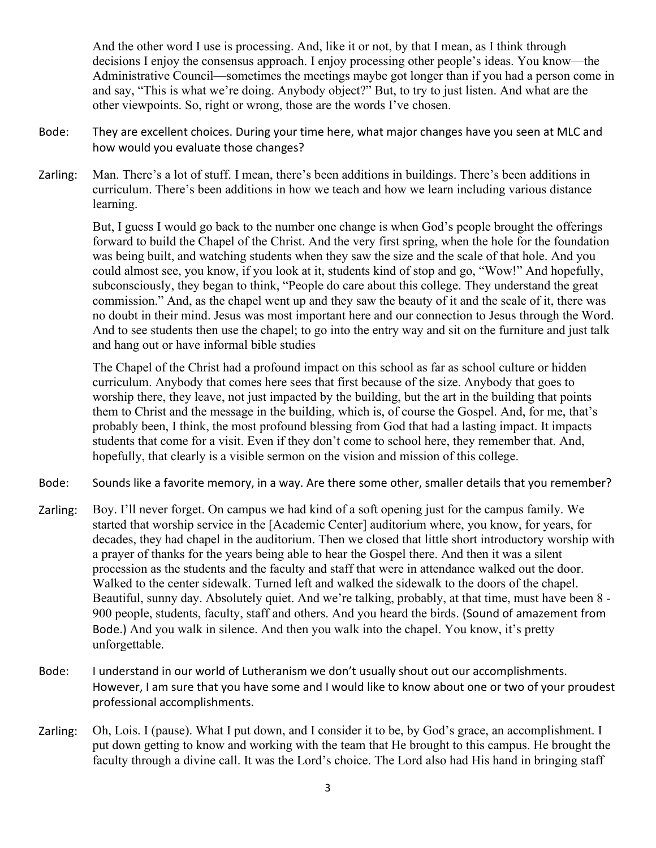And the other word I use is processing. And, like it or not, by that I mean, as I think through decisions I enjoy the consensus approach. I enjoy processing other people's ideas. You know—the Administrative Council—sometimes the meetings maybe got longer than if you had a person come in and say, "This is what we're doing. Anybody object?" But, to try to just listen. And what are the other viewpoints. So, right or wrong, those are the words I've chosen.

- Bode: They are excellent choices. During your time here, what major changes have you seen at MLC and how would you evaluate those changes?
- Zarling: Man. There's a lot of stuff. I mean, there's been additions in buildings. There's been additions in curriculum. There's been additions in how we teach and how we learn including various distance learning.

But, I guess I would go back to the number one change is when God's people brought the offerings forward to build the Chapel of the Christ. And the very first spring, when the hole for the foundation was being built, and watching students when they saw the size and the scale of that hole. And you could almost see, you know, if you look at it, students kind of stop and go, "Wow!" And hopefully, subconsciously, they began to think, "People do care about this college. They understand the great commission." And, as the chapel went up and they saw the beauty of it and the scale of it, there was no doubt in their mind. Jesus was most important here and our connection to Jesus through the Word. And to see students then use the chapel; to go into the entry way and sit on the furniture and just talk and hang out or have informal bible studies

The Chapel of the Christ had a profound impact on this school as far as school culture or hidden curriculum. Anybody that comes here sees that first because of the size. Anybody that goes to worship there, they leave, not just impacted by the building, but the art in the building that points them to Christ and the message in the building, which is, of course the Gospel. And, for me, that's probably been, I think, the most profound blessing from God that had a lasting impact. It impacts students that come for a visit. Even if they don't come to school here, they remember that. And, hopefully, that clearly is a visible sermon on the vision and mission of this college.

- Bode: Sounds like a favorite memory, in a way. Are there some other, smaller details that you remember?
- Zarling: Boy. I'll never forget. On campus we had kind of a soft opening just for the campus family. We started that worship service in the [Academic Center] auditorium where, you know, for years, for decades, they had chapel in the auditorium. Then we closed that little short introductory worship with a prayer of thanks for the years being able to hear the Gospel there. And then it was a silent procession as the students and the faculty and staff that were in attendance walked out the door. Walked to the center sidewalk. Turned left and walked the sidewalk to the doors of the chapel. Beautiful, sunny day. Absolutely quiet. And we're talking, probably, at that time, must have been 8 - 900 people, students, faculty, staff and others. And you heard the birds. (Sound of amazement from Bode.) And you walk in silence. And then you walk into the chapel. You know, it's pretty unforgettable.
- Bode: I understand in our world of Lutheranism we don't usually shout out our accomplishments. However, I am sure that you have some and I would like to know about one or two of your proudest professional accomplishments.
- Zarling: Oh, Lois. I (pause). What I put down, and I consider it to be, by God's grace, an accomplishment. I put down getting to know and working with the team that He brought to this campus. He brought the faculty through a divine call. It was the Lord's choice. The Lord also had His hand in bringing staff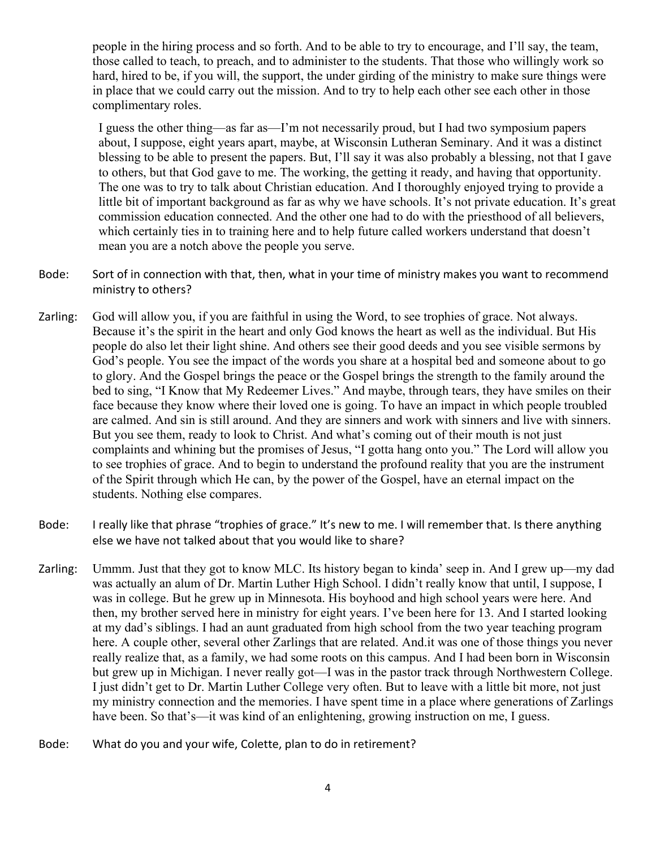people in the hiring process and so forth. And to be able to try to encourage, and I'll say, the team, those called to teach, to preach, and to administer to the students. That those who willingly work so hard, hired to be, if you will, the support, the under girding of the ministry to make sure things were in place that we could carry out the mission. And to try to help each other see each other in those complimentary roles.

I guess the other thing—as far as—I'm not necessarily proud, but I had two symposium papers about, I suppose, eight years apart, maybe, at Wisconsin Lutheran Seminary. And it was a distinct blessing to be able to present the papers. But, I'll say it was also probably a blessing, not that I gave to others, but that God gave to me. The working, the getting it ready, and having that opportunity. The one was to try to talk about Christian education. And I thoroughly enjoyed trying to provide a little bit of important background as far as why we have schools. It's not private education. It's great commission education connected. And the other one had to do with the priesthood of all believers, which certainly ties in to training here and to help future called workers understand that doesn't mean you are a notch above the people you serve.

- Bode: Sort of in connection with that, then, what in your time of ministry makes you want to recommend ministry to others?
- Zarling: God will allow you, if you are faithful in using the Word, to see trophies of grace. Not always. Because it's the spirit in the heart and only God knows the heart as well as the individual. But His people do also let their light shine. And others see their good deeds and you see visible sermons by God's people. You see the impact of the words you share at a hospital bed and someone about to go to glory. And the Gospel brings the peace or the Gospel brings the strength to the family around the bed to sing, "I Know that My Redeemer Lives." And maybe, through tears, they have smiles on their face because they know where their loved one is going. To have an impact in which people troubled are calmed. And sin is still around. And they are sinners and work with sinners and live with sinners. But you see them, ready to look to Christ. And what's coming out of their mouth is not just complaints and whining but the promises of Jesus, "I gotta hang onto you." The Lord will allow you to see trophies of grace. And to begin to understand the profound reality that you are the instrument of the Spirit through which He can, by the power of the Gospel, have an eternal impact on the students. Nothing else compares.
- Bode: I really like that phrase "trophies of grace." It's new to me. I will remember that. Is there anything else we have not talked about that you would like to share?
- Zarling: Ummm. Just that they got to know MLC. Its history began to kinda' seep in. And I grew up—my dad was actually an alum of Dr. Martin Luther High School. I didn't really know that until, I suppose, I was in college. But he grew up in Minnesota. His boyhood and high school years were here. And then, my brother served here in ministry for eight years. I've been here for 13. And I started looking at my dad's siblings. I had an aunt graduated from high school from the two year teaching program here. A couple other, several other Zarlings that are related. And.it was one of those things you never really realize that, as a family, we had some roots on this campus. And I had been born in Wisconsin but grew up in Michigan. I never really got—I was in the pastor track through Northwestern College. I just didn't get to Dr. Martin Luther College very often. But to leave with a little bit more, not just my ministry connection and the memories. I have spent time in a place where generations of Zarlings have been. So that's—it was kind of an enlightening, growing instruction on me, I guess.
- Bode: What do you and your wife, Colette, plan to do in retirement?